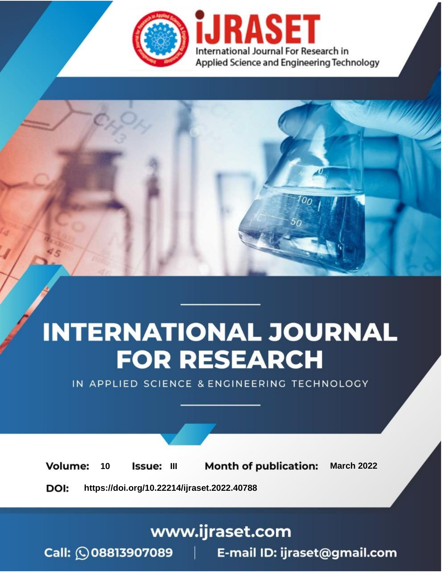

# **INTERNATIONAL JOURNAL FOR RESEARCH**

IN APPLIED SCIENCE & ENGINEERING TECHNOLOGY

10 **Issue: III Month of publication:** March 2022 **Volume:** 

**https://doi.org/10.22214/ijraset.2022.40788**DOI:

www.ijraset.com

Call: 008813907089 | E-mail ID: ijraset@gmail.com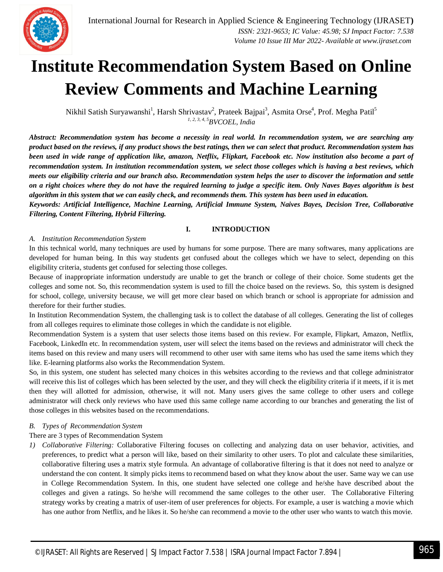

### **Institute Recommendation System Based on Online Review Comments and Machine Learning**

Nikhil Satish Suryawanshi<sup>1</sup>, Harsh Shrivastav<sup>2</sup>, Prateek Bajpai<sup>3</sup>, Asmita Orse<sup>4</sup>, Prof. Megha Patil<sup>5</sup> *1, 2, 3, 4, 5BVCOEL, India*

*Abstract: Recommendation system has become a necessity in real world. In recommendation system, we are searching any product based on the reviews, if any product shows the best ratings, then we can select that product. Recommendation system has been used in wide range of application like, amazon, Netflix, Flipkart, Facebook etc. Now institution also become a part of recommendation system. In institution recommendation system, we select those colleges which is having a best reviews, which meets our eligibility criteria and our branch also. Recommendation system helps the user to discover the information and settle on a right choices where they do not have the required learning to judge a specific item. Only Naves Bayes algorithm is best algorithm in this system that we can easily check, and recommends them. This system has been used in education.*

*Keywords: Artificial Intelligence, Machine Learning, Artificial Immune System, Naives Bayes, Decision Tree, Collaborative Filtering, Content Filtering, Hybrid Filtering.*

#### **I. INTRODUCTION**

#### *A. Institution Recommendation System*

In this technical world, many techniques are used by humans for some purpose. There are many softwares, many applications are developed for human being. In this way students get confused about the colleges which we have to select, depending on this eligibility criteria, students get confused for selecting those colleges.

Because of inappropriate information understudy are unable to get the branch or college of their choice. Some students get the colleges and some not. So, this recommendation system is used to fill the choice based on the reviews. So, this system is designed for school, college, university because, we will get more clear based on which branch or school is appropriate for admission and therefore for their further studies.

In Institution Recommendation System, the challenging task is to collect the database of all colleges. Generating the list of colleges from all colleges requires to eliminate those colleges in which the candidate is not eligible.

Recommendation System is a system that user selects those items based on this review. For example, Flipkart, Amazon, Netflix, Facebook, LinkedIn etc. In recommendation system, user will select the items based on the reviews and administrator will check the items based on this review and many users will recommend to other user with same items who has used the same items which they like. E-learning platforms also works the Recommendation System.

So, in this system, one student has selected many choices in this websites according to the reviews and that college administrator will receive this list of colleges which has been selected by the user, and they will check the eligibility criteria if it meets, if it is met then they will allotted for admission, otherwise, it will not. Many users gives the same college to other users and college administrator will check only reviews who have used this same college name according to our branches and generating the list of those colleges in this websites based on the recommendations.

#### *B. Types of Recommendation System*

#### There are 3 types of Recommendation System

*1) Collaborative Filtering:* Collaborative Filtering focuses on collecting and analyzing data on user behavior, activities, and preferences, to predict what a person will like, based on their similarity to other users. To plot and calculate these similarities, collaborative filtering uses a matrix style formula. An advantage of collaborative filtering is that it does not need to analyze or understand the con content. It simply picks items to recommend based on what they know about the user. Same way we can use in College Recommendation System. In this, one student have selected one college and he/she have described about the colleges and given a ratings. So he/she will recommend the same colleges to the other user. The Collaborative Filtering strategy works by creating a matrix of user-item of user preferences for objects. For example, a user is watching a movie which has one author from Netflix, and he likes it. So he/she can recommend a movie to the other user who wants to watch this movie.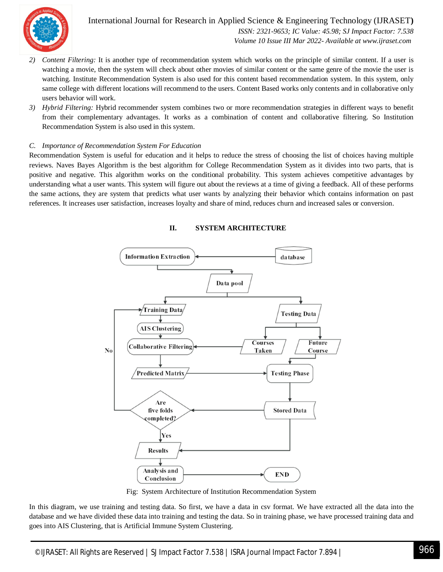

International Journal for Research in Applied Science & Engineering Technology (IJRASET**)**  *ISSN: 2321-9653; IC Value: 45.98; SJ Impact Factor: 7.538 Volume 10 Issue III Mar 2022- Available at www.ijraset.com*

- *2) Content Filtering:* It is another type of recommendation system which works on the principle of similar content. If a user is watching a movie, then the system will check about other movies of similar content or the same genre of the movie the user is watching. Institute Recommendation System is also used for this content based recommendation system. In this system, only same college with different locations will recommend to the users. Content Based works only contents and in collaborative only users behavior will work.
- *3) Hybrid Filtering:* Hybrid recommender system combines two or more recommendation strategies in different ways to benefit from their complementary advantages. It works as a combination of content and collaborative filtering. So Institution Recommendation System is also used in this system.

#### *C. Importance of Recommendation System For Education*

Recommendation System is useful for education and it helps to reduce the stress of choosing the list of choices having multiple reviews. Naves Bayes Algorithm is the best algorithm for College Recommendation System as it divides into two parts, that is positive and negative. This algorithm works on the conditional probability. This system achieves competitive advantages by understanding what a user wants. This system will figure out about the reviews at a time of giving a feedback. All of these performs the same actions, they are system that predicts what user wants by analyzing their behavior which contains information on past references. It increases user satisfaction, increases loyalty and share of mind, reduces churn and increased sales or conversion.



#### **II. SYSTEM ARCHITECTURE**

Fig: System Architecture of Institution Recommendation System

In this diagram, we use training and testing data. So first, we have a data in csv format. We have extracted all the data into the database and we have divided these data into training and testing the data. So in training phase, we have processed training data and goes into AIS Clustering, that is Artificial Immune System Clustering.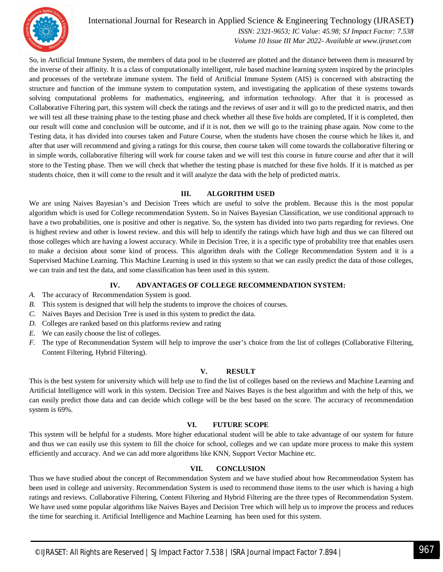

International Journal for Research in Applied Science & Engineering Technology (IJRASET**)**  *ISSN: 2321-9653; IC Value: 45.98; SJ Impact Factor: 7.538 Volume 10 Issue III Mar 2022- Available at www.ijraset.com*

So, in Artificial Immune System, the members of data pool to be clustered are plotted and the distance between them is measured by the inverse of their affinity. It is a class of computationally intelligent, rule based machine learning system inspired by the principles and processes of the vertebrate immune system. The field of Artificial Immune System (AIS) is concerned with abstracting the structure and function of the immune system to computation system, and investigating the application of these systems towards solving computational problems for mathematics, engineering, and information technology. After that it is processed as Collaborative Filtering part, this system will check the ratings and the reviews of user and it will go to the predicted matrix, and then we will test all these training phase to the testing phase and check whether all these five holds are completed, If it is completed, then our result will come and conclusion will be outcome, and if it is not, then we will go to the training phase again. Now come to the Testing data, it has divided into courses taken and Future Course, when the students have chosen the course which he likes it, and after that user will recommend and giving a ratings for this course, then course taken will come towards the collaborative filtering or in simple words, collaborative filtering will work for course taken and we will test this course in future course and after that it will store to the Testing phase. Then we will check that whether the testing phase is matched for these five holds. If it is matched as per students choice, then it will come to the result and it will analyze the data with the help of predicted matrix.

#### **III. ALGORITHM USED**

We are using Naives Bayesian's and Decision Trees which are useful to solve the problem. Because this is the most popular algorithm which is used for College recommendation System. So in Naives Bayesian Classification, we use conditional approach to have a two probabilities, one is positive and other is negative. So, the system has divided into two parts regarding for reviews. One is highest review and other is lowest review. and this will help to identify the ratings which have high and thus we can filtered out those colleges which are having a lowest accuracy. While in Decision Tree, it is a specific type of probability tree that enables users to make a decision about some kind of process. This algorithm deals with the College Recommendation System and it is a Supervised Machine Learning. This Machine Learning is used in this system so that we can easily predict the data of those colleges, we can train and test the data, and some classification has been used in this system.

#### **IV. ADVANTAGES OF COLLEGE RECOMMENDATION SYSTEM:**

- *A.* The accuracy of Recommendation System is good.
- *B.* This system is designed that will help the students to improve the choices of courses.
- *C.* Naives Bayes and Decision Tree is used in this system to predict the data.
- *D.* Colleges are ranked based on this platforms review and rating
- *E.* We can easily choose the list of colleges.
- *F.* The type of Recommendation System will help to improve the user's choice from the list of colleges (Collaborative Filtering, Content Filtering, Hybrid Filtering).

#### **V. RESULT**

This is the best system for university which will help use to find the list of colleges based on the reviews and Machine Learning and Artificial Intelligence will work in this system. Decision Tree and Naives Bayes is the best algorithm and with the help of this, we can easily predict those data and can decide which college will be the best based on the score. The accuracy of recommendation system is 69%.

#### **VI. FUTURE SCOPE**

This system will be helpful for a students. More higher educational student will be able to take advantage of our system for future and thus we can easily use this system to fill the choice for school, colleges and we can update more process to make this system efficiently and accuracy. And we can add more algorithms like KNN, Support Vector Machine etc.

#### **VII. CONCLUSION**

Thus we have studied about the concept of Recommendation System and we have studied about how Recommendation System has been used in college and university. Recommendation System is used to recommend those items to the user which is having a high ratings and reviews. Collaborative Filtering, Content Filtering and Hybrid Filtering are the three types of Recommendation System. We have used some popular algorithms like Naives Bayes and Decision Tree which will help us to improve the process and reduces the time for searching it. Artificial Intelligence and Machine Learning has been used for this system.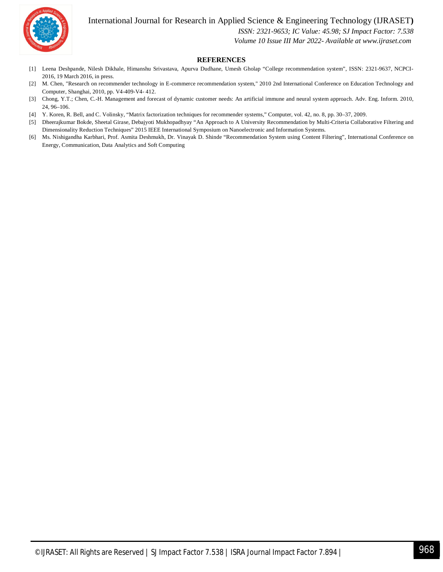

#### International Journal for Research in Applied Science & Engineering Technology (IJRASET**)**

 *ISSN: 2321-9653; IC Value: 45.98; SJ Impact Factor: 7.538*

 *Volume 10 Issue III Mar 2022- Available at www.ijraset.com*

#### **REFERENCES**

- [1] Leena Deshpande, Nilesh Dikhale, Himanshu Srivastava, Apurva Dudhane, Umesh Gholap "College recommendation system", ISSN: 2321-9637, NCPCI-2016, 19 March 2016, in press.
- [2] M. Chen, "Research on recommender technology in E-commerce recommendation system," 2010 2nd International Conference on Education Technology and Computer, Shanghai, 2010, pp. V4-409-V4- 412.
- [3] Chong, Y.T.; Chen, C.-H. Management and forecast of dynamic customer needs: An artificial immune and neural system approach. Adv. Eng. Inform. 2010, 24, 96–106.
- [4] Y. Koren, R. Bell, and C. Volinsky, "Matrix factorization techniques for recommender systems," Computer, vol. 42, no. 8, pp. 30–37, 2009.
- [5] Dheerajkumar Bokde, Sheetal Girase, Debajyoti Mukhopadhyay "An Approach to A University Recommendation by Multi-Criteria Collaborative Filtering and Dimensionality Reduction Techniques" 2015 IEEE International Symposium on Nanoelectronic and Information Systems.
- [6] Ms. Nishigandha Karbhari, Prof. Asmita Deshmukh, Dr. Vinayak D. Shinde "Recommendation System using Content Filtering", International Conference on Energy, Communication, Data Analytics and Soft Computing